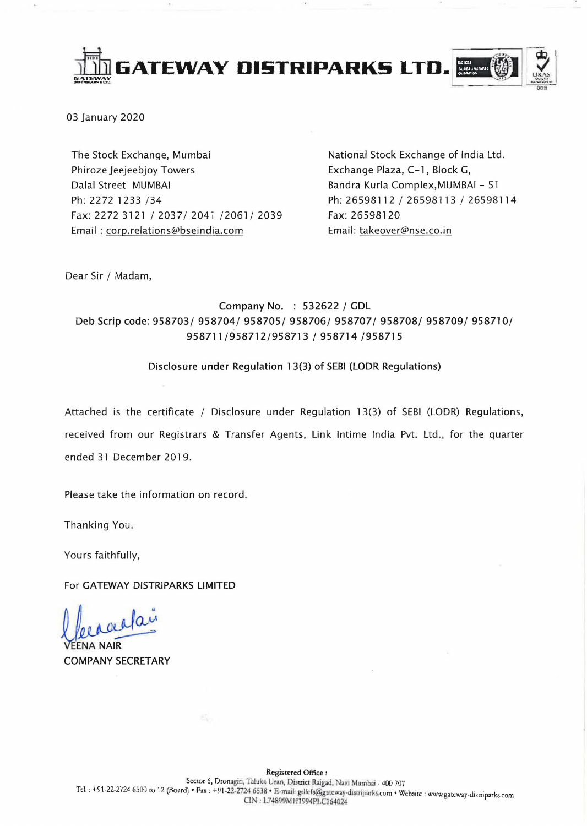

03 January 2020

The Stock Exchange, Mumbai Phiroze Jeejeebjoy Towers Dalal Street MUMBAI Ph: 2272 1233 /34 Fax: 2272 3121/2037/2041/2061/2039 Email: coro.relations@bseindia.com

National Stock Exchange of India Ltd. Exchange Plaza, C-1, Block G, Bandra Kurla Complex,MUMBAI - 51 Ph: 26598112 / 26598113 / 26598114 Fax: 26598120 Email: takeover@nse.co.in

Dear Sir / Madam,

### Company No. : 532622 / GDL Deb Scrip code: 958703/ 958704/ 958705/ 958706/ 958707/ 958708/ 958709/ 958710/ 958711/958712/958713 / 958714 /958715

#### Disclosure under Regulation 13(3) of SEBI (LODR Regulations)

Attached is the certificate / Disclosure under Regulation 13(3) of SEBI (LODR) Regulations, received from our Registrars & Transfer Agents, Link Intime India Pvt. Ltd., for the quarter ended 31 December 2019.

Please take the information on record.

Thanking You.

Yours faithfully,

For GATEWAY DISTRIPARKS LIMITED

VEENA NAIR

COMPANY SECRETARY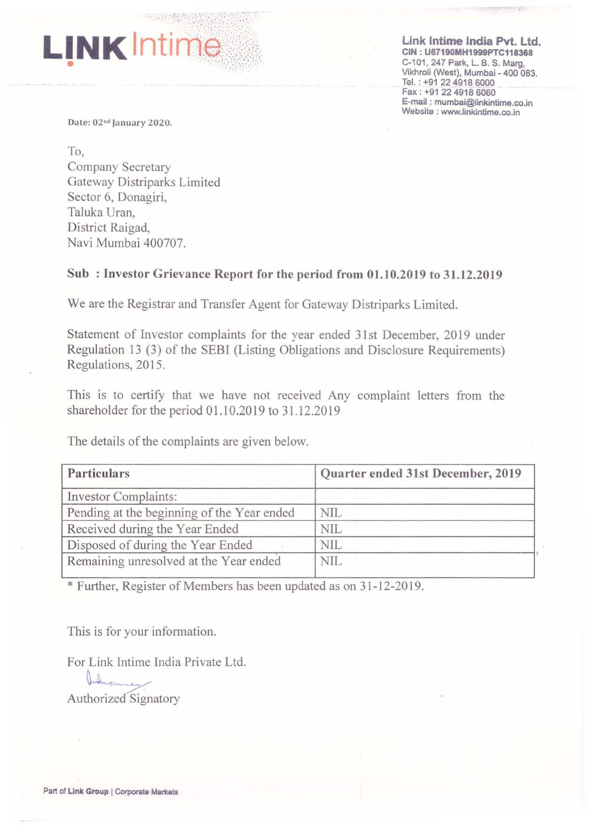#### **Link Intime India** Pvt. Ltd. CIN : U67190MH1999PTC118368 C-101, 247 Park, L. B. S. Marg, Vikhroli (West), Mumbai - 400 083. Tel. : +91 2249186000 Fax: +91 *2i* 4918 6060 E-mail : mumbai@linkintime.co.in Website: www.linkintime.co.in

.,

Date: 02<sup>nd</sup> January 2020.

**LINK** Intime

To, Company Secretary Gateway Distriparks Limited Sector 6, Donagiri, Taluka Uran, District Raigad, Navi Mumbai 400707.

## Sub: Investor Grievance Report for the period from 01.10.2019 to 31.12.2019

We are the Registrar and Transfer Agent for Gateway Distriparks Limited.

Statement of Investor complaints for the year ended 31st December, 2019 under Regulation 13 (3) of the SEBI (Listing Obligations and Disclosure Requirements) Regulations, 2015.

This is to certify that we have not received Any complaint letters from the shareholder for the period 01.1 0.2019 to 31.12.2019

The details of the complaints are given below.

| Particulars                                | Quarter ended 31st December, 2019 |  |
|--------------------------------------------|-----------------------------------|--|
| <b>Investor Complaints:</b>                |                                   |  |
| Pending at the beginning of the Year ended | NIL                               |  |
| Received during the Year Ended             | NIL                               |  |
| Disposed of during the Year Ended          | NIL                               |  |
| Remaining unresolved at the Year ended     | <b>NIL</b>                        |  |

\* Further, Register of Members has been updated as on 31-12-2019.

This is for your information.

For Link Intime India Private Ltd.

For Link Intime India Pr<br> $\begin{bmatrix} 1 & 0 \\ 0 & 1 \end{bmatrix}$ <br>Authorized Signatory